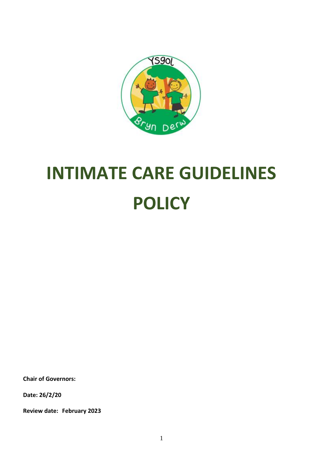

# **INTIMATE CARE GUIDELINES POLICY**

**Chair of Governors:**

**Date: 26/2/20**

**Review date: February 2023**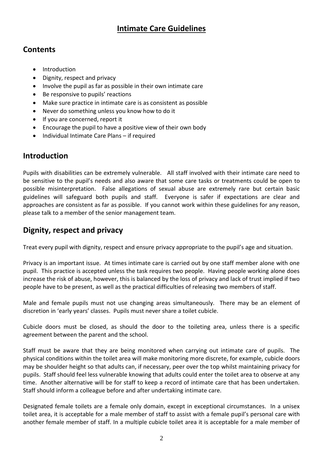## **Intimate Care Guidelines**

#### **Contents**

- Introduction
- Dignity, respect and privacy
- Involve the pupil as far as possible in their own intimate care
- Be responsive to pupils' reactions
- Make sure practice in intimate care is as consistent as possible
- Never do something unless you know how to do it
- If you are concerned, report it
- Encourage the pupil to have a positive view of their own body
- Individual Intimate Care Plans if required

## **Introduction**

Pupils with disabilities can be extremely vulnerable. All staff involved with their intimate care need to be sensitive to the pupil's needs and also aware that some care tasks or treatments could be open to possible misinterpretation. False allegations of sexual abuse are extremely rare but certain basic guidelines will safeguard both pupils and staff. Everyone is safer if expectations are clear and approaches are consistent as far as possible. If you cannot work within these guidelines for any reason, please talk to a member of the senior management team.

# **Dignity, respect and privacy**

Treat every pupil with dignity, respect and ensure privacy appropriate to the pupil's age and situation.

Privacy is an important issue. At times intimate care is carried out by one staff member alone with one pupil. This practice is accepted unless the task requires two people. Having people working alone does increase the risk of abuse, however, this is balanced by the loss of privacy and lack of trust implied if two people have to be present, as well as the practical difficulties of releasing two members of staff.

Male and female pupils must not use changing areas simultaneously. There may be an element of discretion in 'early years' classes. Pupils must never share a toilet cubicle.

Cubicle doors must be closed, as should the door to the toileting area, unless there is a specific agreement between the parent and the school.

Staff must be aware that they are being monitored when carrying out intimate care of pupils. The physical conditions within the toilet area will make monitoring more discrete, for example, cubicle doors may be shoulder height so that adults can, if necessary, peer over the top whilst maintaining privacy for pupils. Staff should feel less vulnerable knowing that adults could enter the toilet area to observe at any time. Another alternative will be for staff to keep a record of intimate care that has been undertaken. Staff should inform a colleague before and after undertaking intimate care.

Designated female toilets are a female only domain, except in exceptional circumstances. In a unisex toilet area, it is acceptable for a male member of staff to assist with a female pupil's personal care with another female member of staff. In a multiple cubicle toilet area it is acceptable for a male member of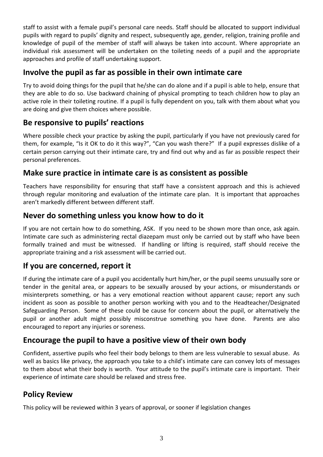staff to assist with a female pupil's personal care needs. Staff should be allocated to support individual pupils with regard to pupils' dignity and respect, subsequently age, gender, religion, training profile and knowledge of pupil of the member of staff will always be taken into account. Where appropriate an individual risk assessment will be undertaken on the toileting needs of a pupil and the appropriate approaches and profile of staff undertaking support.

#### **Involve the pupil as far as possible in their own intimate care**

Try to avoid doing things for the pupil that he/she can do alone and if a pupil is able to help, ensure that they are able to do so. Use backward chaining of physical prompting to teach children how to play an active role in their toileting routine. If a pupil is fully dependent on you, talk with them about what you are doing and give them choices where possible.

#### **Be responsive to pupils' reactions**

Where possible check your practice by asking the pupil, particularly if you have not previously cared for them, for example, "Is it OK to do it this way?", "Can you wash there?" If a pupil expresses dislike of a certain person carrying out their intimate care, try and find out why and as far as possible respect their personal preferences.

#### **Make sure practice in intimate care is as consistent as possible**

Teachers have responsibility for ensuring that staff have a consistent approach and this is achieved through regular monitoring and evaluation of the intimate care plan. It is important that approaches aren't markedly different between different staff.

#### **Never do something unless you know how to do it**

If you are not certain how to do something, ASK. If you need to be shown more than once, ask again. Intimate care such as administering rectal diazepam must only be carried out by staff who have been formally trained and must be witnessed. If handling or lifting is required, staff should receive the appropriate training and a risk assessment will be carried out.

#### **If you are concerned, report it**

If during the intimate care of a pupil you accidentally hurt him/her, or the pupil seems unusually sore or tender in the genital area, or appears to be sexually aroused by your actions, or misunderstands or misinterprets something, or has a very emotional reaction without apparent cause; report any such incident as soon as possible to another person working with you and to the Headteacher/Designated Safeguarding Person. Some of these could be cause for concern about the pupil, or alternatively the pupil or another adult might possibly misconstrue something you have done. Parents are also encouraged to report any injuries or soreness.

#### **Encourage the pupil to have a positive view of their own body**

Confident, assertive pupils who feel their body belongs to them are less vulnerable to sexual abuse. As well as basics like privacy, the approach you take to a child's intimate care can convey lots of messages to them about what their body is worth. Your attitude to the pupil's intimate care is important. Their experience of intimate care should be relaxed and stress free.

#### **Policy Review**

This policy will be reviewed within 3 years of approval, or sooner if legislation changes